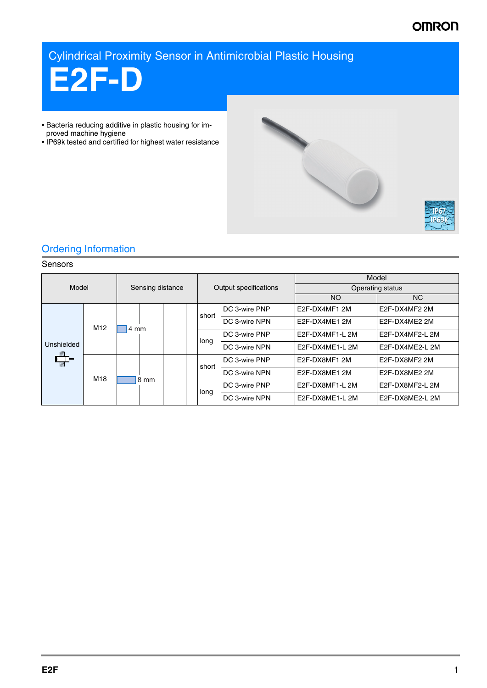# **OMRON**

Cylindrical Proximity Sensor in Antimicrobial Plastic Housing



- Bacteria reducing additive in plastic housing for improved machine hygiene
- IP69k tested and certified for highest water resistance



## Ordering Information

## Sensors

| Model                   |                 | Sensing distance |  | Output specifications |               | Model            |                 |
|-------------------------|-----------------|------------------|--|-----------------------|---------------|------------------|-----------------|
|                         |                 |                  |  |                       |               | Operating status |                 |
|                         |                 |                  |  |                       |               | <b>NO</b>        | NC.             |
|                         | M <sub>12</sub> | 4 mm             |  | short                 | DC 3-wire PNP | E2F-DX4MF1 2M    | E2F-DX4MF2 2M   |
|                         |                 |                  |  |                       | DC 3-wire NPN | E2F-DX4ME1 2M    | E2F-DX4ME2 2M   |
|                         |                 |                  |  |                       | DC 3-wire PNP | E2F-DX4MF1-L 2M  | E2F-DX4MF2-L 2M |
| Unshielded              |                 |                  |  | long                  | DC 3-wire NPN | E2F-DX4ME1-L 2M  | E2F-DX4ME2-L 2M |
| $\overline{\mathbb{Z}}$ | M18             | 8 mm             |  | short                 | DC 3-wire PNP | E2F-DX8MF1 2M    | E2F-DX8MF2 2M   |
|                         |                 |                  |  |                       | DC 3-wire NPN | E2F-DX8ME1 2M    | E2F-DX8ME2 2M   |
|                         |                 |                  |  | long                  | DC 3-wire PNP | E2F-DX8MF1-L2M   | E2F-DX8MF2-L 2M |
|                         |                 |                  |  |                       | DC 3-wire NPN | E2F-DX8ME1-L 2M  | E2F-DX8ME2-L 2M |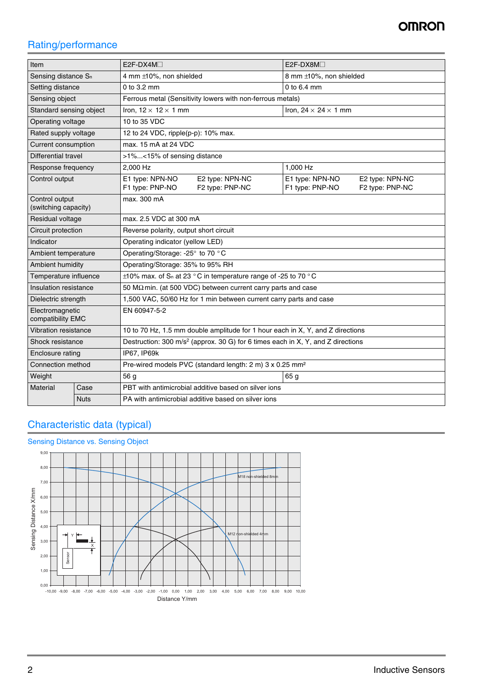# Rating/performance

| Item                                   |             | $E2F-DX4M\square$                                                                           | $E2F-DX8M\square$                                                        |  |  |  |
|----------------------------------------|-------------|---------------------------------------------------------------------------------------------|--------------------------------------------------------------------------|--|--|--|
| Sensing distance S <sub>n</sub>        |             | 4 mm ±10%, non shielded                                                                     | 8 mm ±10%, non shielded                                                  |  |  |  |
| Setting distance                       |             | 0 to 3.2 mm                                                                                 | 0 to 6.4 mm                                                              |  |  |  |
| Sensing object                         |             | Ferrous metal (Sensitivity lowers with non-ferrous metals)                                  |                                                                          |  |  |  |
| Standard sensing object                |             | Iron, $12 \times 12 \times 1$ mm                                                            | Iron, $24 \times 24 \times 1$ mm                                         |  |  |  |
| Operating voltage                      |             | 10 to 35 VDC                                                                                |                                                                          |  |  |  |
| Rated supply voltage                   |             | 12 to 24 VDC, ripple(p-p): 10% max.                                                         |                                                                          |  |  |  |
| Current consumption                    |             | max, 15 mA at 24 VDC                                                                        |                                                                          |  |  |  |
| Differential travel                    |             | >1%<15% of sensing distance                                                                 |                                                                          |  |  |  |
| Response frequency                     |             | 2,000 Hz                                                                                    | 1,000 Hz                                                                 |  |  |  |
| Control output                         |             | E1 type: NPN-NO<br>E2 type: NPN-NC<br>F1 type: PNP-NO<br>F2 type: PNP-NC                    | E1 type: NPN-NO<br>E2 type: NPN-NC<br>F1 type: PNP-NO<br>F2 type: PNP-NC |  |  |  |
| Control output<br>(switching capacity) |             | max. 300 mA                                                                                 |                                                                          |  |  |  |
| Residual voltage                       |             | max, 2.5 VDC at 300 mA                                                                      |                                                                          |  |  |  |
| Circuit protection                     |             | Reverse polarity, output short circuit                                                      |                                                                          |  |  |  |
| Indicator                              |             | Operating indicator (yellow LED)                                                            |                                                                          |  |  |  |
| Ambient temperature                    |             | Operating/Storage: -25° to 70 °C                                                            |                                                                          |  |  |  |
| Ambient humidity                       |             | Operating/Storage: 35% to 95% RH                                                            |                                                                          |  |  |  |
| Temperature influence                  |             | $\pm$ 10% max. of S <sub>n</sub> at 23 °C in temperature range of -25 to 70 °C              |                                                                          |  |  |  |
| Insulation resistance                  |             | 50 M $\Omega$ min. (at 500 VDC) between current carry parts and case                        |                                                                          |  |  |  |
| Dielectric strength                    |             | 1,500 VAC, 50/60 Hz for 1 min between current carry parts and case                          |                                                                          |  |  |  |
| Electromagnetic<br>compatibility EMC   |             | EN 60947-5-2                                                                                |                                                                          |  |  |  |
| Vibration resistance                   |             | 10 to 70 Hz, 1.5 mm double amplitude for 1 hour each in X, Y, and Z directions              |                                                                          |  |  |  |
| Shock resistance                       |             | Destruction: 300 m/s <sup>2</sup> (approx. 30 G) for 6 times each in X, Y, and Z directions |                                                                          |  |  |  |
| Enclosure rating                       |             | IP67, IP69k                                                                                 |                                                                          |  |  |  |
| Connection method                      |             | Pre-wired models PVC (standard length: 2 m) 3 x 0.25 mm <sup>2</sup>                        |                                                                          |  |  |  |
| Weight                                 |             | 56 g<br>65 g                                                                                |                                                                          |  |  |  |
| Material                               | Case        | PBT with antimicrobial additive based on silver ions                                        |                                                                          |  |  |  |
|                                        | <b>Nuts</b> | PA with antimicrobial additive based on silver ions                                         |                                                                          |  |  |  |

## Characteristic data (typical)

## Sensing Distance vs. Sensing Object

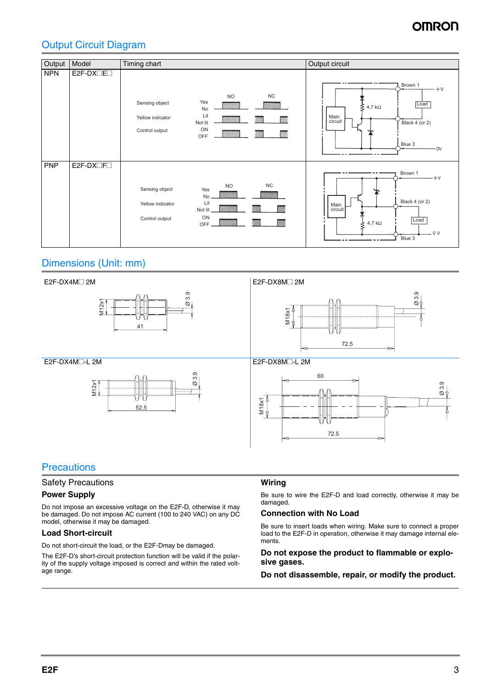# OMRO

## Output Circuit Diagram



## Dimensions (Unit: mm)



## **Precautions**

### Safety Precautions

### **Power Supply**

Do not impose an excessive voltage on the E2F-D, otherwise it may be damaged. Do not impose AC current (100 to 240 VAC) on any DC model, otherwise it may be damaged.

## **Load Short-circuit**

Do not short-circuit the load, or the E2F-Dmay be damaged.

The E2F-D's short-circuit protection function will be valid if the polarity of the supply voltage imposed is correct and within the rated voltage range.

### **Wiring**

Be sure to wire the E2F-D and load correctly, otherwise it may be damaged.

### **Connection with No Load**

Be sure to insert loads when wiring. Make sure to connect a proper load to the E2F-D in operation, otherwise it may damage internal elements.

### **Do not expose the product to flammable or explosive gases.**

**Do not disassemble, repair, or modify the product.**